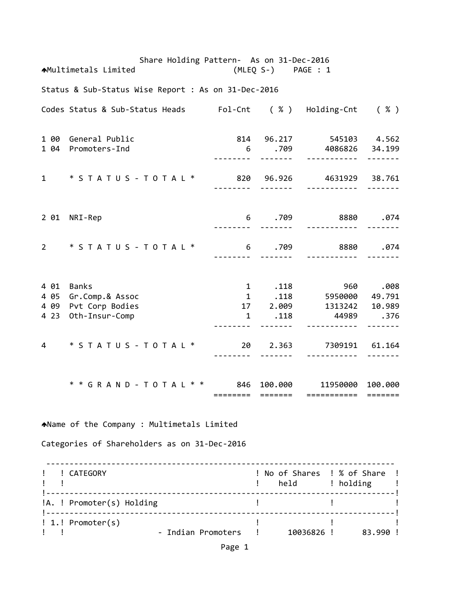Share Holding Pattern- As on 31-Dec-2016 Multimetals Limited (MLEQ S‐) PAGE : 1 Status & Sub‐Status Wise Report : As on 31‐Dec‐2016 Codes Status & Sub‐Status Heads Fol‐Cnt ( % ) Holding‐Cnt ( % ) 1 00 General Public 814 96.217 545103 4.562 1 04 Promoters‐Ind 6 .709 4086826 34.199 ‐‐‐‐‐‐‐‐ ‐‐‐‐‐‐‐ ‐‐‐‐‐‐‐‐‐‐‐ ‐‐‐‐‐‐‐ 1 \* S T A T U S ‐ T O T A L \* 820 96.926 4631929 38.761 ‐‐‐‐‐‐‐‐ ‐‐‐‐‐‐‐ ‐‐‐‐‐‐‐‐‐‐‐ ‐‐‐‐‐‐‐ 2 01 NRI‐Rep 6 .709 8880 .074 ‐‐‐‐‐‐‐‐ ‐‐‐‐‐‐‐ ‐‐‐‐‐‐‐‐‐‐‐ ‐‐‐‐‐‐‐ 2 \* S T A T U S ‐ T O T A L \* 6 .709 8880 .074 ‐‐‐‐‐‐‐‐ ‐‐‐‐‐‐‐ ‐‐‐‐‐‐‐‐‐‐‐ ‐‐‐‐‐‐‐ 4 01 Banks 1 .118 960 .008 4 05 Gr.Comp.& Assoc 4 09 Pvt Corp Bodies 17 2.009 1313242 10.989 4 23 Oth‐Insur‐Comp 1 .118 44989 .376 ‐‐‐‐‐‐‐‐ ‐‐‐‐‐‐‐ ‐‐‐‐‐‐‐‐‐‐‐ ‐‐‐‐‐‐‐ 4 \* S T A T U S ‐ T O T A L \* 20 2.363 7309191 61.164 ‐‐‐‐‐‐‐‐ ‐‐‐‐‐‐‐ ‐‐‐‐‐‐‐‐‐‐‐ ‐‐‐‐‐‐‐ \* \* G R A N D ‐ T O T A L \* \* 846 100.000 11950000 100.000 ======== ======= =========== ======= Name of the Company : Multimetals Limited Categories of Shareholders as on 31‐Dec‐2016 ‐‐‐‐‐‐‐‐‐‐‐‐‐‐‐‐‐‐‐‐‐‐‐‐‐‐‐‐‐‐‐‐‐‐‐‐‐‐‐‐‐‐‐‐‐‐‐‐‐‐‐‐‐‐‐‐‐‐‐‐‐‐‐‐‐‐‐‐‐‐‐‐‐‐‐ ! ! CATEGORY ! No of Shares ! % of Share ! example to the set of the set of the set of the set of the set of the set of the set of the set of the set of t !‐‐‐‐‐‐‐‐‐‐‐‐‐‐‐‐‐‐‐‐‐‐‐‐‐‐‐‐‐‐‐‐‐‐‐‐‐‐‐‐‐‐‐‐‐‐‐‐‐‐‐‐‐‐‐‐‐‐‐‐‐‐‐‐‐‐‐‐‐‐‐‐‐‐‐! !A. ! Promoter(s) Holding ! ! ! !‐‐‐‐‐‐‐‐‐‐‐‐‐‐‐‐‐‐‐‐‐‐‐‐‐‐‐‐‐‐‐‐‐‐‐‐‐‐‐‐‐‐‐‐‐‐‐‐‐‐‐‐‐‐‐‐‐‐‐‐‐‐‐‐‐‐‐‐‐‐‐‐‐‐‐! ! 1.! Promoter(s) ! ! ! ! ! ‐ Indian Promoters ! 10036826 ! 83.990 !

Page 1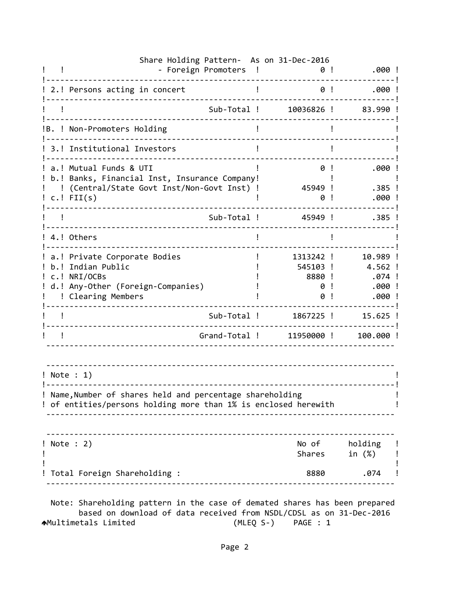|                  | Share Holding Pattern- As on 31-Dec-2016<br>- Foreign Promoters                                                              | $\mathbf{I}$          | .000 !<br>0!                                                        |
|------------------|------------------------------------------------------------------------------------------------------------------------------|-----------------------|---------------------------------------------------------------------|
|                  | 2.! Persons acting in concert                                                                                                |                       | 0!<br>.000!                                                         |
|                  | Sub-Total !                                                                                                                  | 10036826 !            | 83.990!                                                             |
|                  | B. ! Non-Promoters Holding                                                                                                   |                       |                                                                     |
|                  | 3.! Institutional Investors                                                                                                  |                       |                                                                     |
|                  | a.! Mutual Funds & UTI<br>b.! Banks, Financial Inst, Insurance Company!<br>(Central/State Govt Inst/Non-Govt Inst) !         |                       | .000 !<br>0<br>45949 !<br>$.385$ !                                  |
| $c.$ ! FII $(s)$ |                                                                                                                              |                       | ! 000.<br>0                                                         |
|                  | Sub-Total !                                                                                                                  |                       | 45949 !<br>$.385$ !                                                 |
| 4.! Others       |                                                                                                                              |                       |                                                                     |
| c.! NRI/OCBs     | a.! Private Corporate Bodies<br>b.! Indian Public<br>d.! Any-Other (Foreign-Companies)<br>! Clearing Members                 | 1313242 !<br>545103 ! | 10.989 !<br>4.562 !<br>8880 !<br>.074 !<br>.000!<br>0<br>.000!<br>0 |
|                  | Sub-Total !                                                                                                                  | 1867225 !             | $15.625$ !                                                          |
|                  | Grand-Total !                                                                                                                |                       | 11950000!<br>100.000 !                                              |
| ! Note : 1)      | ! Name, Number of shares held and percentage shareholding<br>! of entities/persons holding more than 1% is enclosed herewith |                       |                                                                     |
| ! Note : 2)      |                                                                                                                              |                       | No of holding !<br>Shares in (%) !                                  |
|                  | Total Foreign Shareholding :                                                                                                 |                       | 8880 .074 !                                                         |

 based on download of data received from NSDL/CDSL as on 31‐Dec‐2016 Multimetals Limited (MLEQ S‐) PAGE : 1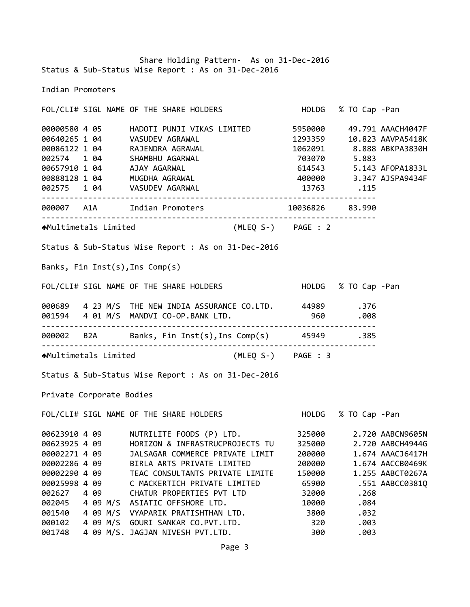Share Holding Pattern‐ As on 31‐Dec‐2016 Status & Sub‐Status Wise Report : As on 31‐Dec‐2016

Indian Promoters

FOL/CLI# SIGL NAME OF THE SHARE HOLDERS HOLDG % TO Cap ‐Pan 4 05 HADOTI PUNJI VIKAS LIMITED 5950000 49.791 AAACH4047F 1 04 VASUDEV AGRAWAL 1293359 10.823 AAVPA5418K 1 04 RAJENDRA AGRAWAL 1062091 8.888 ABKPA3830H 1 04 SHAMBHU AGARWAL 703070 5.883 1 04 AJAY AGARWAL 614543 5.143 AFOPA1833L 1 04 MUGDHA AGRAWAL 400000 3.347 AJSPA9434F 1 04 VASUDEV AGARWAL 13763 .115 ‐‐‐‐‐‐‐‐‐‐‐‐‐‐‐‐‐‐‐‐‐‐‐‐‐‐‐‐‐‐‐‐‐‐‐‐‐‐‐‐‐‐‐‐‐‐‐‐‐‐‐‐‐‐‐‐‐‐‐‐‐‐‐‐‐‐‐‐‐‐‐‐ A1A Indian Promoters 10036826 83.990 ‐‐‐‐‐‐‐‐‐‐‐‐‐‐‐‐‐‐‐‐‐‐‐‐‐‐‐‐‐‐‐‐‐‐‐‐‐‐‐‐‐‐‐‐‐‐‐‐‐‐‐‐‐‐‐‐‐‐‐‐‐‐‐‐‐‐‐‐‐‐‐‐ Multimetals Limited (MLEQ S‐) PAGE : 2 Status & Sub‐Status Wise Report : As on 31‐Dec‐2016 Banks, Fin Inst(s),Ins Comp(s) FOL/CLI# SIGL NAME OF THE SHARE HOLDERS HOLDG % TO Cap ‐Pan 4 23 M/S THE NEW INDIA ASSURANCE CO.LTD. 44989 .376 4 01 M/S MANDVI CO‐OP.BANK LTD. 960 .008 ‐‐‐‐‐‐‐‐‐‐‐‐‐‐‐‐‐‐‐‐‐‐‐‐‐‐‐‐‐‐‐‐‐‐‐‐‐‐‐‐‐‐‐‐‐‐‐‐‐‐‐‐‐‐‐‐‐‐‐‐‐‐‐‐‐‐‐‐‐‐‐‐ B2A Banks, Fin Inst(s),Ins Comp(s) 45949 .385 ‐‐‐‐‐‐‐‐‐‐‐‐‐‐‐‐‐‐‐‐‐‐‐‐‐‐‐‐‐‐‐‐‐‐‐‐‐‐‐‐‐‐‐‐‐‐‐‐‐‐‐‐‐‐‐‐‐‐‐‐‐‐‐‐‐‐‐‐‐‐‐‐ Multimetals Limited (MLEQ S‐) PAGE : 3 Status & Sub‐Status Wise Report : As on 31‐Dec‐2016 Private Corporate Bodies FOL/CLI# SIGL NAME OF THE SHARE HOLDERS HOLDG % TO Cap ‐Pan 4 09 NUTRILITE FOODS (P) LTD. 325000 2.720 AABCN9605N 4 09 HORIZON & INFRASTRUCPROJECTS TU 325000 2.720 AABCH4944G 4 09 JALSAGAR COMMERCE PRIVATE LIMIT 200000 1.674 AAACJ6417H 4 09 BIRLA ARTS PRIVATE LIMITED 200000 1.674 AACCB0469K 4 09 TEAC CONSULTANTS PRIVATE LIMITE 150000 1.255 AABCT0267A 4 09 C MACKERTICH PRIVATE LIMITED 65900 .551 AABCC0381Q 4 09 CHATUR PROPERTIES PVT LTD 32000 .268 4 09 M/S ASIATIC OFFSHORE LTD. 10000 .084 4 09 M/S VYAPARIK PRATISHTHAN LTD. 3800 .032 4 09 M/S GOURI SANKAR CO.PVT.LTD. 320 .003

001748 4 09 M/S. JAGJAN NIVESH PVT.LTD. 300 .003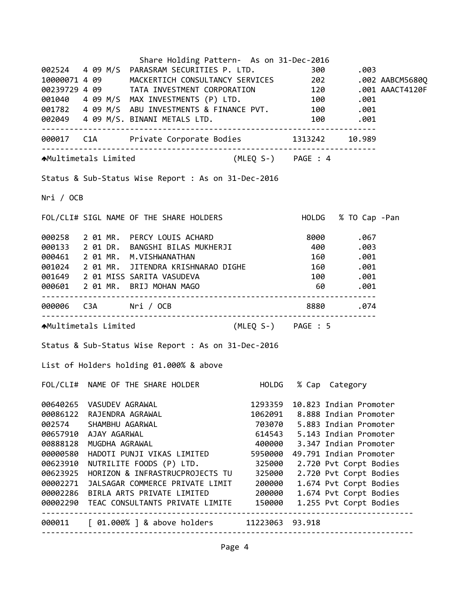|           |                       | Share Holding Pattern- As on 31-Dec-2016                                                                                                                                                                                                  |         |                 |                        |  |
|-----------|-----------------------|-------------------------------------------------------------------------------------------------------------------------------------------------------------------------------------------------------------------------------------------|---------|-----------------|------------------------|--|
|           |                       | 002524 4 09 M/S PARASRAM SECURITIES P. LTD.                                                                                                                                                                                               |         |                 |                        |  |
|           |                       | 002524  4  09  M/S  PARASRAM SECURITIES P. LTD.  300  .003<br>10000071  4  09  MACKERTICH CONSULTANCY SERVICES  202  .002 AABCM5680Q                                                                                                      |         |                 |                        |  |
|           |                       |                                                                                                                                                                                                                                           |         |                 |                        |  |
|           |                       |                                                                                                                                                                                                                                           |         |                 |                        |  |
|           |                       |                                                                                                                                                                                                                                           |         |                 |                        |  |
|           |                       |                                                                                                                                                                                                                                           |         |                 |                        |  |
|           |                       | 00239729 4 09 TATA INVESTMENT CORPORATION 120 .001 AAACT4120F<br>001040 4 09 M/S MAX INVESTMENTS (P) LTD. 100 .001<br>001782 4 09 M/S ABU INVESTMENTS & FINANCE PVT. 100 .001<br>002049 4 09 M/S. BINANI METALS LTD. 100 .001<br>002049 4 |         |                 |                        |  |
|           |                       | 000017 C1A Private Corporate Bodies 1313242 10.989                                                                                                                                                                                        |         |                 |                        |  |
|           |                       | AMultimetals Limited (MLEQ S-) PAGE : 4                                                                                                                                                                                                   |         |                 |                        |  |
|           |                       | Status & Sub-Status Wise Report : As on 31-Dec-2016                                                                                                                                                                                       |         |                 |                        |  |
| Nri / OCB |                       |                                                                                                                                                                                                                                           |         |                 |                        |  |
|           |                       | FOL/CLI# SIGL NAME OF THE SHARE HOLDERS HOLD HOLDG % TO Cap -Pan                                                                                                                                                                          |         |                 |                        |  |
|           |                       | 000258 2 01 MR. PERCY LOUIS ACHARD 8000 .067<br>000133 2 01 DR. BANGSHI BILAS MUKHERJI 400 .003<br>000461 2 01 MR. M.VISHWANATHAN 160 .001<br>001                                                                                         |         |                 |                        |  |
|           |                       |                                                                                                                                                                                                                                           |         |                 |                        |  |
|           |                       |                                                                                                                                                                                                                                           |         |                 |                        |  |
|           |                       | 000461 2 01 MR. M.VISHWANATHAN<br>001024 2 01 MR. JITENDRA KRISHNARAO DIGHE 160 .001                                                                                                                                                      |         |                 |                        |  |
|           |                       | 001649 2 01 MISS SARITA VASUDEVA                                                                                                                                                                                                          |         |                 | 100.001                |  |
|           |                       | 000601 2 01 MR. BRIJ MOHAN MAGO                                                                                                                                                                                                           |         | 60              | .001                   |  |
|           |                       | 000006 C3A Nri / OCB 3880 8880 .074                                                                                                                                                                                                       |         |                 |                        |  |
|           |                       | AMultimetals Limited (MLEQ S-) PAGE : 5                                                                                                                                                                                                   |         |                 |                        |  |
|           |                       | Status & Sub-Status Wise Report : As on 31-Dec-2016                                                                                                                                                                                       |         |                 |                        |  |
|           |                       | List of Holders holding 01.000% & above                                                                                                                                                                                                   |         |                 |                        |  |
|           |                       | FOL/CLI# NAME OF THE SHARE HOLDER                                                                                                                                                                                                         |         |                 | HOLDG % Cap Category   |  |
| 00640265  | VASUDEV AGRAWAL       |                                                                                                                                                                                                                                           | 1293359 |                 | 10.823 Indian Promoter |  |
| 00086122  | RAJENDRA AGRAWAL      |                                                                                                                                                                                                                                           | 1062091 |                 | 8.888 Indian Promoter  |  |
| 002574    | SHAMBHU AGARWAL       |                                                                                                                                                                                                                                           | 703070  |                 | 5.883 Indian Promoter  |  |
| 00657910  | AJAY AGARWAL          |                                                                                                                                                                                                                                           | 614543  |                 | 5.143 Indian Promoter  |  |
| 00888128  | MUGDHA AGRAWAL        |                                                                                                                                                                                                                                           | 400000  |                 | 3.347 Indian Promoter  |  |
| 00000580  |                       | HADOTI PUNJI VIKAS LIMITED                                                                                                                                                                                                                | 5950000 |                 | 49.791 Indian Promoter |  |
| 00623910  |                       | NUTRILITE FOODS (P) LTD.                                                                                                                                                                                                                  | 325000  |                 | 2.720 Pvt Corpt Bodies |  |
| 00623925  |                       | HORIZON & INFRASTRUCPROJECTS TU                                                                                                                                                                                                           | 325000  |                 | 2.720 Pvt Corpt Bodies |  |
| 00002271  |                       | JALSAGAR COMMERCE PRIVATE LIMIT                                                                                                                                                                                                           | 200000  |                 | 1.674 Pvt Corpt Bodies |  |
| 00002286  |                       | BIRLA ARTS PRIVATE LIMITED                                                                                                                                                                                                                | 200000  |                 | 1.674 Pvt Corpt Bodies |  |
| 00002290  |                       | TEAC CONSULTANTS PRIVATE LIMITE                                                                                                                                                                                                           | 150000  |                 | 1.255 Pvt Corpt Bodies |  |
| 000011    | --------------------- | ---------------------------------<br>[ 01.000% ] & above holders                                                                                                                                                                          |         | 11223063 93.918 |                        |  |

Page 4

‐‐‐‐‐‐‐‐‐‐‐‐‐‐‐‐‐‐‐‐‐‐‐‐‐‐‐‐‐‐‐‐‐‐‐‐‐‐‐‐‐‐‐‐‐‐‐‐‐‐‐‐‐‐‐‐‐‐‐‐‐‐‐‐‐‐‐‐‐‐‐‐‐‐‐‐‐‐‐‐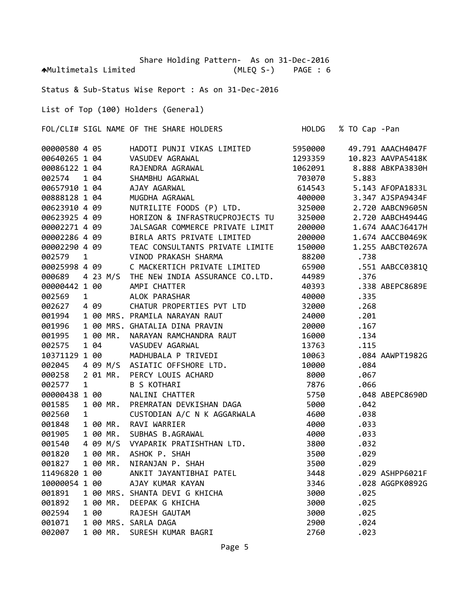Share Holding Pattern- As on 31-Dec-2016 Multimetals Limited (MLEQ S‐) PAGE : 6

Status & Sub‐Status Wise Report : As on 31‐Dec‐2016

List of Top (100) Holders (General)

FOL/CLI# SIGL NAME OF THE SHARE HOLDERS HOLDG % TO Cap ‐Pan

| 00000580 4 05                  |              |                |          | HADOTI PUNJI VIKAS LIMITED                                                                                                                                                                                                                        | 5950000 |       | 49.791 AAACH4047F |
|--------------------------------|--------------|----------------|----------|---------------------------------------------------------------------------------------------------------------------------------------------------------------------------------------------------------------------------------------------------|---------|-------|-------------------|
| 00640265 1 04                  |              |                |          | VASUDEV AGRAWAL<br>RAJENDRA AGRAWAL<br>SHAMBHU AGARWAL<br>AJAY AGARWAL<br>MUGDHA AGRAWAL                                                                                                                                                          | 1293359 |       | 10.823 AAVPA5418K |
| 00086122 1 04                  |              |                |          |                                                                                                                                                                                                                                                   | 1062091 |       | 8.888 ABKPA3830H  |
| 002574                         |              | 1 04           |          |                                                                                                                                                                                                                                                   | 703070  | 5.883 |                   |
| 00657910 1 04                  |              |                |          |                                                                                                                                                                                                                                                   | 614543  |       | 5.143 AFOPA1833L  |
| 00888128 1 04                  |              |                |          |                                                                                                                                                                                                                                                   | 400000  |       | 3.347 AJSPA9434F  |
| 00623910 4 09                  |              |                |          | NUTRILITE FOODS (P) LTD.                                                                                                                                                                                                                          | 325000  |       | 2.720 AABCN9605N  |
| 00623925 4 09                  |              |                |          | HORIZON & INFRASTRUCPROJECTS TU                                                                                                                                                                                                                   | 325000  |       | 2.720 AABCH4944G  |
| 00002271 4 09                  |              |                |          | JALSAGAR COMMERCE PRIVATE LIMIT                                                                                                                                                                                                                   | 200000  |       | 1.674 AAACJ6417H  |
| 000022/1 4 09<br>00002286 4 09 |              |                |          | BIRLA ARTS PRIVATE LIMITED                                                                                                                                                                                                                        | 200000  |       | 1.674 AACCB0469K  |
| 00002290 4 09                  |              |                |          | TEAC CONSULTANTS PRIVATE LIMITE                                                                                                                                                                                                                   | 150000  |       | 1.255 AABCT0267A  |
| 002579                         | $\mathbf{1}$ |                |          | VINOD PRAKASH SHARMA                                                                                                                                                                                                                              | 88200   | .738  |                   |
| 00025998 4 09                  |              |                |          | C MACKERTICH PRIVATE LIMITED                                                                                                                                                                                                                      | 65900   |       | .551 AABCC0381Q   |
| 000689                         |              |                |          | 4 23 M/S THE NEW INDIA ASSURANCE CO.LTD.                                                                                                                                                                                                          | 44989   | .376  |                   |
| 00000442 1 00                  |              |                |          | AMPI CHATTER                                                                                                                                                                                                                                      | 40393   |       | .338 ABEPC8689E   |
| 002569                         |              | $\overline{1}$ |          | ALOK PARASHAR                                                                                                                                                                                                                                     | 40000   | .335  |                   |
| 002627                         |              | 4 09           |          | CHATUR PROPERTIES PVT LTD                                                                                                                                                                                                                         | 32000   | .268  |                   |
| 001994                         |              |                |          | 1 00 MRS. PRAMILA NARAYAN RAUT                                                                                                                                                                                                                    | 24000   | .201  |                   |
| 001996                         |              |                |          | 1 00 MRS. GHATALIA DINA PRAVIN                                                                                                                                                                                                                    | 20000   | .167  |                   |
| 001995                         |              |                | 1 00 MR. | NARAYAN RAMCHANDRA RAUT                                                                                                                                                                                                                           | 16000   | .134  |                   |
| 002575                         |              |                |          |                                                                                                                                                                                                                                                   | 13763   | .115  |                   |
| 10371129 1 00                  |              |                |          |                                                                                                                                                                                                                                                   | 10063   |       | .084 AAWPT1982G   |
| 002045                         |              |                |          |                                                                                                                                                                                                                                                   | 10000   | .084  |                   |
| 000258                         |              |                |          |                                                                                                                                                                                                                                                   | 8000    | .067  |                   |
| 002577                         |              |                |          | 1 00 MR. NAKAYAN KAPILIMINDING NGC.<br>1 04 VASUDEV AGARWAL<br>29 1 00 MADHUBALA P TRIVEDI (1<br>4 09 M/S ASIATIC OFFSHORE LTD.<br>2 01 MR. PERCY LOUIS ACHARD<br>1 B S KOTHARI                                                                   | 7876    | .066  |                   |
| 00000438 1 00                  |              |                |          | NALINI CHATTER                                                                                                                                                                                                                                    | 5750    |       | .048 ABEPC8690D   |
| 001585                         |              |                | 1 00 MR. | PREMRATAN DEVKISHAN DAGA                                                                                                                                                                                                                          | 5000    | .042  |                   |
| 002560                         | $\mathbf{1}$ |                |          | CUSTODIAN A/C N K AGGARWALA                                                                                                                                                                                                                       | 4600    | .038  |                   |
| 001848                         |              |                |          | 1 00 MR. RAVI WARRIER                                                                                                                                                                                                                             | 4000    | .033  |                   |
| 001905                         |              |                |          | 1 00 MR. SUBHAS B.AGRAWAL                                                                                                                                                                                                                         | 4000    | .033  |                   |
| 001540                         |              |                |          | 4 09 M/S VYAPARIK PRATISHTHAN LTD.                                                                                                                                                                                                                | 3800    | .032  |                   |
| 001820                         |              |                |          |                                                                                                                                                                                                                                                   | 3500    | .029  |                   |
| 001827                         |              |                |          |                                                                                                                                                                                                                                                   | 3500    | .029  |                   |
| 11496820 1 00                  |              |                |          |                                                                                                                                                                                                                                                   | 3448    |       | .029 ASHPP6021F   |
| 10000054 1 00                  |              |                |          |                                                                                                                                                                                                                                                   | 3346    |       | .028 AGGPK0892G   |
| 001891                         |              |                |          |                                                                                                                                                                                                                                                   | 3000    | .025  |                   |
| 001892                         |              |                |          |                                                                                                                                                                                                                                                   | 3000    | .025  |                   |
| 002594                         |              |                |          |                                                                                                                                                                                                                                                   | 3000    | .025  |                   |
| 001071                         |              |                |          |                                                                                                                                                                                                                                                   | 2900    | .024  |                   |
| 002007                         |              |                |          | 4 09 M/S VYAPARIK PRATISHIHAN LID.<br>100 MR. ASHOK P. SHAH<br>100 ANKIT JAYANTIBHAI PATEL<br>100 AJAY KUMAR KAYAN<br>100 MRS. SHANTA DEVI G KHICHA<br>100 MR. DEEPAK G KHICHA<br>100 RAJESH GAUTAM<br>100 MRS. SARLA DAGA<br>100 MRS. SARLA DAGA | 2760    | .023  |                   |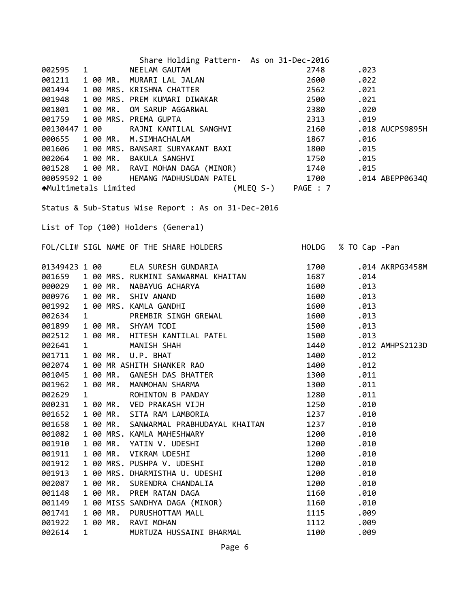| Share Holding Pattern- As on 31-Dec-2016                                                                                                                                                                                                 |            |                     |
|------------------------------------------------------------------------------------------------------------------------------------------------------------------------------------------------------------------------------------------|------------|---------------------|
| 002595                                                                                                                                                                                                                                   | 2748       | .023                |
| 001211                                                                                                                                                                                                                                   | 2600       | .022                |
| 1 NEELAM GAUTAM<br>100 MR. MURARI LAL JALAN<br>100 MRS. KRISHNA CHATTER<br>100 MRS. PREM KUMARI DIWAKAR<br>100 MR. OM SARUP AGGARWAL<br>100 MRS. PREMA GUPTA<br>7100 RAJNI KANTILAL SANGHVI<br>001494                                    | 2562       | .021                |
| 001948                                                                                                                                                                                                                                   | 2500       | .021                |
| 001801                                                                                                                                                                                                                                   | 2380       | .020                |
| 001759                                                                                                                                                                                                                                   | 2313       | .019                |
| 00130447 1 00                                                                                                                                                                                                                            | 2160       | .018 AUCPS9895H     |
| 000655<br>1 00 MR. M.SIMHACHALAM                                                                                                                                                                                                         | 1867 — 187 | .016                |
| 1 00 MR.  M.SIMHACHALAM<br>1 00 MRS. BANSARI SURYAKANT BAXI<br>001606                                                                                                                                                                    | 1800       | .015                |
|                                                                                                                                                                                                                                          |            | .015                |
|                                                                                                                                                                                                                                          |            | .015                |
| HEMANG MADHUSUDAN PATEL 1700 .014 ABEPP0634Q<br>00059592 1 00                                                                                                                                                                            |            |                     |
| (MLEQ S-) PAGE : 7<br>AMultimetals Limited                                                                                                                                                                                               |            |                     |
|                                                                                                                                                                                                                                          |            |                     |
| Status & Sub-Status Wise Report : As on 31-Dec-2016<br>List of Top (100) Holders (General)                                                                                                                                               |            |                     |
| FOL/CLI# SIGL NAME OF THE SHARE HOLDERS                                                                                                                                                                                                  |            | HOLDG % TO Cap -Pan |
|                                                                                                                                                                                                                                          |            |                     |
| 01349423 1 00        ELA SURESH GUNDARIA<br>001659   1 00 MRS. RUKMINI SANWARMAL KHAITAN                                                                                                                                                 | 1700       | .014 AKRPG3458M     |
|                                                                                                                                                                                                                                          | 1687       | .014                |
| 000029 1 00 MR.<br>NONMINI SANWANMAL NHAITAN<br>NABAYUG ACHARYA<br>KAMLA GANDHI<br>PREMBIR SINGH GREWAL<br>SHYAM TODI<br>HITESH KANTILAL PATEL<br>MANISH SHAH<br>U.P. BHAT<br>SHITH SHANKER RAO<br>GANESH DAS BHATTER<br>MANMOHAN SHARMA | 1600       | .013                |
| 1 00 MR.<br>000976                                                                                                                                                                                                                       | 1600       | .013                |
| 1 00 MRS. KAMLA GANDHI<br>001992                                                                                                                                                                                                         | 1600       | .013                |
| 002634<br>$\mathbf{1}$                                                                                                                                                                                                                   | 1600       | .013                |
| 1 00 MR. SHYAM TODI<br>001899                                                                                                                                                                                                            | 1500       | .013                |
| 002512<br>1 00 MR.                                                                                                                                                                                                                       | 1500       | .013                |
| 002641<br>$\mathbf{1}$                                                                                                                                                                                                                   | 1440       | .012 AMHPS2123D     |
| 1 00 MR.<br>001711                                                                                                                                                                                                                       | 1400       | .012                |
| 002074<br>1 00 MR ASHITH SHANKER RAO                                                                                                                                                                                                     | 1400       | .012                |
| 001045<br>1 00 MR.                                                                                                                                                                                                                       | 1300       | .011                |
| 1 00 MR.<br>MANMOHAN SHARMA<br>001962                                                                                                                                                                                                    | 1300       | .011                |
| $\mathbf{1}$<br>002629<br>ROHINTON B PANDAY                                                                                                                                                                                              | 1280       | .011                |
| 000231<br>1 00 MR.<br>VED PRAKASH VIJH                                                                                                                                                                                                   | 1250       | .010                |
| 001652<br>1 00 MR.<br>SITA RAM LAMBORIA                                                                                                                                                                                                  | 1237       | .010                |
| 1 00 MR.<br>001658<br>SANWARMAL PRABHUDAYAL KHAITAN                                                                                                                                                                                      | 1237       | .010                |
| 001082<br>1 00 MRS. KAMLA MAHESHWARY                                                                                                                                                                                                     | 1200       | .010                |
| 001910<br>1 00 MR.<br>YATIN V. UDESHI                                                                                                                                                                                                    | 1200       | .010                |
| 1 00 MR.<br>001911<br>VIKRAM UDESHI                                                                                                                                                                                                      | 1200       | .010                |
| 1 00 MRS. PUSHPA V. UDESHI<br>001912                                                                                                                                                                                                     | 1200       | .010                |
| 1 00 MRS. DHARMISTHA U. UDESHI<br>001913                                                                                                                                                                                                 | 1200       | .010                |
| 1 00 MR.<br>002087<br>SURENDRA CHANDALIA                                                                                                                                                                                                 | 1200       | .010                |
| 1 00 MR.<br>001148<br>PREM RATAN DAGA                                                                                                                                                                                                    | 1160       | .010                |
| 1 00 MISS SANDHYA DAGA (MINOR)<br>001149                                                                                                                                                                                                 | 1160       | .010                |
| 1 00 MR.<br>PURUSHOTTAM MALL<br>001741                                                                                                                                                                                                   | 1115       | .009                |
| 001922<br>1 00 MR.<br>RAVI MOHAN                                                                                                                                                                                                         | 1112       | .009                |
| 002614<br>$\mathbf{1}$<br>MURTUZA HUSSAINI BHARMAL                                                                                                                                                                                       | 1100       | .009                |
|                                                                                                                                                                                                                                          |            |                     |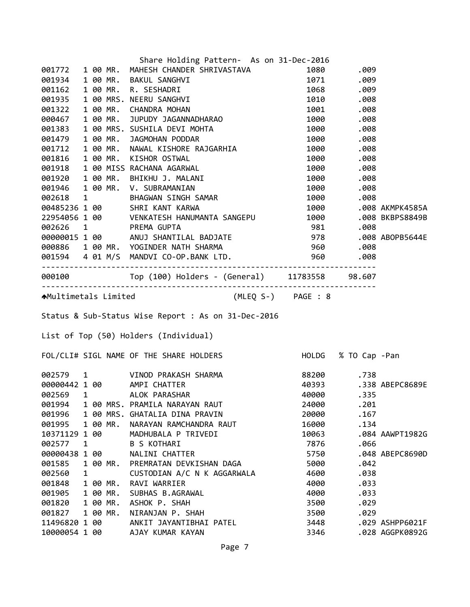|               |   |          | Share Holding Pattern- As on 31-Dec-2016                                                                                                                                                                                                   |                      |            |                       |
|---------------|---|----------|--------------------------------------------------------------------------------------------------------------------------------------------------------------------------------------------------------------------------------------------|----------------------|------------|-----------------------|
|               |   |          | 001772 1 00 MR. MAHESH CHANDER SHRIVASTAVA                                                                                                                                                                                                 |                      | 1080.009   |                       |
|               |   |          |                                                                                                                                                                                                                                            |                      |            |                       |
|               |   |          |                                                                                                                                                                                                                                            |                      |            |                       |
|               |   |          | 0017/2 1 00 MR. MARESH CHANDER SHRIVASTAVA<br>001934 1 00 MR. R. SESHADRI 1071 .009<br>001162 1 00 MR. R. SESHADRI 1071 .009<br>001322 1 00 MR. CHANDRA MOHAN 1010 .008<br>000467 1 00 MR. JUPUDY JAGANNADHARAO 1000 .008<br>001383 1 00   |                      |            |                       |
|               |   |          |                                                                                                                                                                                                                                            |                      |            |                       |
|               |   |          |                                                                                                                                                                                                                                            |                      |            |                       |
|               |   |          |                                                                                                                                                                                                                                            |                      |            |                       |
|               |   |          |                                                                                                                                                                                                                                            |                      |            |                       |
|               |   |          |                                                                                                                                                                                                                                            |                      |            |                       |
|               |   |          |                                                                                                                                                                                                                                            |                      |            |                       |
|               |   |          |                                                                                                                                                                                                                                            |                      |            |                       |
|               |   |          |                                                                                                                                                                                                                                            |                      |            |                       |
|               |   |          |                                                                                                                                                                                                                                            |                      |            |                       |
|               |   |          | 1000 .008<br>001918 1 00 MR. KISHOR OSTWAL<br>001918 1 00 MISS RACHANA AGARWAL<br>001920 1 00 MR. BHIKHU J. MALANI 1000 .008<br>001946 1 00 MR. V. SUBRAMANIAN 1000 .008<br>002618 1 BHAGWAN SINGH SAMAR 1000 .008<br>002618 1 BHAGWAN SIN |                      |            |                       |
|               |   |          |                                                                                                                                                                                                                                            | 1000 .008 AKMPK4585A |            |                       |
|               |   |          | 22954056 1 00 VENKATESH HANUMANTA SANGEPU 1000 .008 BKBPS8849B                                                                                                                                                                             |                      |            |                       |
|               |   |          |                                                                                                                                                                                                                                            |                      |            |                       |
|               |   |          |                                                                                                                                                                                                                                            |                      |            |                       |
|               |   |          |                                                                                                                                                                                                                                            |                      |            |                       |
|               |   |          |                                                                                                                                                                                                                                            |                      |            |                       |
|               |   |          | -----------------------------------                                                                                                                                                                                                        |                      |            |                       |
|               |   |          |                                                                                                                                                                                                                                            |                      |            |                       |
|               |   |          | AMultimetals Limited (MLEQ S-) PAGE : 8                                                                                                                                                                                                    |                      |            |                       |
|               |   |          |                                                                                                                                                                                                                                            |                      |            |                       |
|               |   |          | Status & Sub-Status Wise Report : As on 31-Dec-2016                                                                                                                                                                                        |                      |            |                       |
|               |   |          |                                                                                                                                                                                                                                            |                      |            |                       |
|               |   |          | List of Top (50) Holders (Individual)                                                                                                                                                                                                      |                      |            |                       |
|               |   |          | FOL/CLI# SIGL NAME OF THE SHARE HOLDERS FOLL THOLDG % TO Cap -Pan                                                                                                                                                                          |                      |            |                       |
|               |   |          |                                                                                                                                                                                                                                            |                      | 88200 .738 |                       |
|               |   |          |                                                                                                                                                                                                                                            |                      |            | 40393 .338 ABEPC8689E |
|               |   |          |                                                                                                                                                                                                                                            | 40000                | .335       |                       |
| 001994        |   |          | 002579 1 VINOD PRAKASH SHARMA<br>00000442 1 00     AMPI CHATTER<br>002569   1       ALOK PARASHAR<br>00000442 1 00 AMPI CHATTER<br>002569 1 ALOK PARASHAR<br>1 00 MRS. PRAMILA NARAYAN RAUT                                                | 24000                | .201       |                       |
| 001996        |   |          | 1 00 MRS. GHATALIA DINA PRAVIN                                                                                                                                                                                                             | 20000                | .167       |                       |
| 001995        |   | 1 00 MR. | NARAYAN RAMCHANDRA RAUT                                                                                                                                                                                                                    | 16000                | .134       |                       |
| 10371129 1 00 |   |          | MADHUBALA P TRIVEDI                                                                                                                                                                                                                        | 10063                |            | .084 AAWPT1982G       |
| 002577        | 1 |          | <b>B S KOTHARI</b>                                                                                                                                                                                                                         | 7876                 | .066       |                       |
| 00000438 1 00 |   |          | NALINI CHATTER                                                                                                                                                                                                                             | 5750                 |            | .048 ABEPC8690D       |
| 001585        |   | 1 00 MR. | PREMRATAN DEVKISHAN DAGA                                                                                                                                                                                                                   | 5000                 | .042       |                       |
| 002560        | 1 |          | CUSTODIAN A/C N K AGGARWALA                                                                                                                                                                                                                | 4600                 | .038       |                       |
| 001848        |   | 1 00 MR. | RAVI WARRIER                                                                                                                                                                                                                               | 4000                 | .033       |                       |
| 001905        |   | 1 00 MR. | SUBHAS B.AGRAWAL                                                                                                                                                                                                                           | 4000                 | .033       |                       |
| 001820        |   | 1 00 MR. | ASHOK P. SHAH                                                                                                                                                                                                                              | 3500                 | .029       |                       |
| 001827        |   | 1 00 MR. | NIRANJAN P. SHAH                                                                                                                                                                                                                           | 3500                 | .029       |                       |
| 11496820 1 00 |   |          | ANKIT JAYANTIBHAI PATEL                                                                                                                                                                                                                    | 3448                 |            | .029 ASHPP6021F       |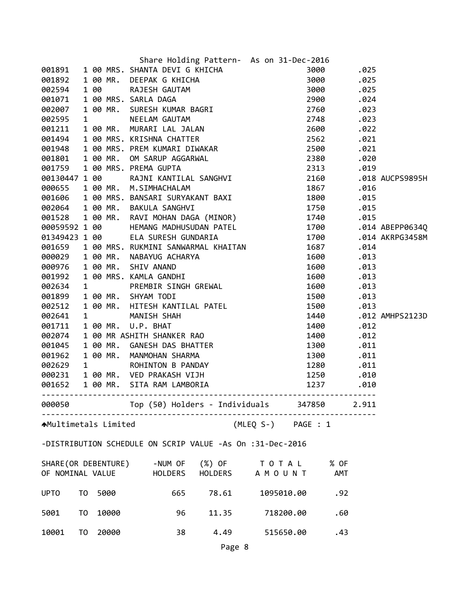| 301891 1 00 MRS. SHANTA DEVIG & NELCHA 3000<br>301892 1 00 MRS. SHANTA DEVIG KHICHA 3000 025<br>302594 1 00 MRS. SARLA DAGA 2900 025<br>30296 022594 1 00 MRS. SARLA DAGA 2900 025<br>30200 025<br>30200 025<br>30200 025<br>30200 025<br>3020<br>00059592 1 00 HEMANG MADHUSUDAN PATEL 1700 1700 .014 ABEPP0634Q<br>00059592 1 00 HEMANG MADHUSUDAN PATEL 1700 .014<br>01349423 1 00 ELA SURESH GUNDARTA 1700 .014<br>001659 1 00 MR. NABAYUG ACHARYA<br>000629 1 00 MR. NABAYUG ACHARYA<br>1687 .011<br>0000976 1 00 MR. SHIV ANAND 1680 .013<br>0025634 1 PR<br>.014 AKRPG3458M<br>1440 .012 AMHPS2123D<br>Top (50) Holders - Individuals 347850<br>2.911<br>000050<br>(MLEQ S-) PAGE : 1<br><b>↑</b> Multimetals Limited<br>-DISTRIBUTION SCHEDULE ON SCRIP VALUE -As On :31-Dec-2016<br>SHARE(OR DEBENTURE)<br>-NUM OF<br>(%) OF TOTAL<br>% OF<br>HOLDERS A M O U N T<br>OF NOMINAL VALUE<br>HOLDERS<br>AMT<br>5000<br><b>UPTO</b><br>T0<br>665<br>78.61<br>1095010.00<br>.92<br>10000<br>5001<br>T <sub>0</sub><br>96<br>11.35<br>718200.00<br>.60<br>20000<br>38<br>4.49<br>10001<br>T0<br>515650.00<br>.43 |  |  | Share Holding Pattern- As on 31-Dec-2016 |  |  |
|--------------------------------------------------------------------------------------------------------------------------------------------------------------------------------------------------------------------------------------------------------------------------------------------------------------------------------------------------------------------------------------------------------------------------------------------------------------------------------------------------------------------------------------------------------------------------------------------------------------------------------------------------------------------------------------------------------------------------------------------------------------------------------------------------------------------------------------------------------------------------------------------------------------------------------------------------------------------------------------------------------------------------------------------------------------------------------------------------------------------|--|--|------------------------------------------|--|--|
|                                                                                                                                                                                                                                                                                                                                                                                                                                                                                                                                                                                                                                                                                                                                                                                                                                                                                                                                                                                                                                                                                                                    |  |  |                                          |  |  |
|                                                                                                                                                                                                                                                                                                                                                                                                                                                                                                                                                                                                                                                                                                                                                                                                                                                                                                                                                                                                                                                                                                                    |  |  |                                          |  |  |
|                                                                                                                                                                                                                                                                                                                                                                                                                                                                                                                                                                                                                                                                                                                                                                                                                                                                                                                                                                                                                                                                                                                    |  |  |                                          |  |  |
|                                                                                                                                                                                                                                                                                                                                                                                                                                                                                                                                                                                                                                                                                                                                                                                                                                                                                                                                                                                                                                                                                                                    |  |  |                                          |  |  |
|                                                                                                                                                                                                                                                                                                                                                                                                                                                                                                                                                                                                                                                                                                                                                                                                                                                                                                                                                                                                                                                                                                                    |  |  |                                          |  |  |
|                                                                                                                                                                                                                                                                                                                                                                                                                                                                                                                                                                                                                                                                                                                                                                                                                                                                                                                                                                                                                                                                                                                    |  |  |                                          |  |  |
|                                                                                                                                                                                                                                                                                                                                                                                                                                                                                                                                                                                                                                                                                                                                                                                                                                                                                                                                                                                                                                                                                                                    |  |  |                                          |  |  |
|                                                                                                                                                                                                                                                                                                                                                                                                                                                                                                                                                                                                                                                                                                                                                                                                                                                                                                                                                                                                                                                                                                                    |  |  |                                          |  |  |
|                                                                                                                                                                                                                                                                                                                                                                                                                                                                                                                                                                                                                                                                                                                                                                                                                                                                                                                                                                                                                                                                                                                    |  |  |                                          |  |  |
|                                                                                                                                                                                                                                                                                                                                                                                                                                                                                                                                                                                                                                                                                                                                                                                                                                                                                                                                                                                                                                                                                                                    |  |  |                                          |  |  |
|                                                                                                                                                                                                                                                                                                                                                                                                                                                                                                                                                                                                                                                                                                                                                                                                                                                                                                                                                                                                                                                                                                                    |  |  |                                          |  |  |
|                                                                                                                                                                                                                                                                                                                                                                                                                                                                                                                                                                                                                                                                                                                                                                                                                                                                                                                                                                                                                                                                                                                    |  |  |                                          |  |  |
|                                                                                                                                                                                                                                                                                                                                                                                                                                                                                                                                                                                                                                                                                                                                                                                                                                                                                                                                                                                                                                                                                                                    |  |  |                                          |  |  |
|                                                                                                                                                                                                                                                                                                                                                                                                                                                                                                                                                                                                                                                                                                                                                                                                                                                                                                                                                                                                                                                                                                                    |  |  |                                          |  |  |
|                                                                                                                                                                                                                                                                                                                                                                                                                                                                                                                                                                                                                                                                                                                                                                                                                                                                                                                                                                                                                                                                                                                    |  |  |                                          |  |  |
|                                                                                                                                                                                                                                                                                                                                                                                                                                                                                                                                                                                                                                                                                                                                                                                                                                                                                                                                                                                                                                                                                                                    |  |  |                                          |  |  |
|                                                                                                                                                                                                                                                                                                                                                                                                                                                                                                                                                                                                                                                                                                                                                                                                                                                                                                                                                                                                                                                                                                                    |  |  |                                          |  |  |
|                                                                                                                                                                                                                                                                                                                                                                                                                                                                                                                                                                                                                                                                                                                                                                                                                                                                                                                                                                                                                                                                                                                    |  |  |                                          |  |  |
|                                                                                                                                                                                                                                                                                                                                                                                                                                                                                                                                                                                                                                                                                                                                                                                                                                                                                                                                                                                                                                                                                                                    |  |  |                                          |  |  |
|                                                                                                                                                                                                                                                                                                                                                                                                                                                                                                                                                                                                                                                                                                                                                                                                                                                                                                                                                                                                                                                                                                                    |  |  |                                          |  |  |
|                                                                                                                                                                                                                                                                                                                                                                                                                                                                                                                                                                                                                                                                                                                                                                                                                                                                                                                                                                                                                                                                                                                    |  |  |                                          |  |  |
|                                                                                                                                                                                                                                                                                                                                                                                                                                                                                                                                                                                                                                                                                                                                                                                                                                                                                                                                                                                                                                                                                                                    |  |  |                                          |  |  |
|                                                                                                                                                                                                                                                                                                                                                                                                                                                                                                                                                                                                                                                                                                                                                                                                                                                                                                                                                                                                                                                                                                                    |  |  |                                          |  |  |
|                                                                                                                                                                                                                                                                                                                                                                                                                                                                                                                                                                                                                                                                                                                                                                                                                                                                                                                                                                                                                                                                                                                    |  |  |                                          |  |  |
|                                                                                                                                                                                                                                                                                                                                                                                                                                                                                                                                                                                                                                                                                                                                                                                                                                                                                                                                                                                                                                                                                                                    |  |  |                                          |  |  |
|                                                                                                                                                                                                                                                                                                                                                                                                                                                                                                                                                                                                                                                                                                                                                                                                                                                                                                                                                                                                                                                                                                                    |  |  |                                          |  |  |
|                                                                                                                                                                                                                                                                                                                                                                                                                                                                                                                                                                                                                                                                                                                                                                                                                                                                                                                                                                                                                                                                                                                    |  |  |                                          |  |  |
|                                                                                                                                                                                                                                                                                                                                                                                                                                                                                                                                                                                                                                                                                                                                                                                                                                                                                                                                                                                                                                                                                                                    |  |  |                                          |  |  |
|                                                                                                                                                                                                                                                                                                                                                                                                                                                                                                                                                                                                                                                                                                                                                                                                                                                                                                                                                                                                                                                                                                                    |  |  |                                          |  |  |
|                                                                                                                                                                                                                                                                                                                                                                                                                                                                                                                                                                                                                                                                                                                                                                                                                                                                                                                                                                                                                                                                                                                    |  |  |                                          |  |  |
|                                                                                                                                                                                                                                                                                                                                                                                                                                                                                                                                                                                                                                                                                                                                                                                                                                                                                                                                                                                                                                                                                                                    |  |  |                                          |  |  |
|                                                                                                                                                                                                                                                                                                                                                                                                                                                                                                                                                                                                                                                                                                                                                                                                                                                                                                                                                                                                                                                                                                                    |  |  |                                          |  |  |
|                                                                                                                                                                                                                                                                                                                                                                                                                                                                                                                                                                                                                                                                                                                                                                                                                                                                                                                                                                                                                                                                                                                    |  |  |                                          |  |  |
|                                                                                                                                                                                                                                                                                                                                                                                                                                                                                                                                                                                                                                                                                                                                                                                                                                                                                                                                                                                                                                                                                                                    |  |  |                                          |  |  |
|                                                                                                                                                                                                                                                                                                                                                                                                                                                                                                                                                                                                                                                                                                                                                                                                                                                                                                                                                                                                                                                                                                                    |  |  |                                          |  |  |
|                                                                                                                                                                                                                                                                                                                                                                                                                                                                                                                                                                                                                                                                                                                                                                                                                                                                                                                                                                                                                                                                                                                    |  |  |                                          |  |  |
|                                                                                                                                                                                                                                                                                                                                                                                                                                                                                                                                                                                                                                                                                                                                                                                                                                                                                                                                                                                                                                                                                                                    |  |  |                                          |  |  |
|                                                                                                                                                                                                                                                                                                                                                                                                                                                                                                                                                                                                                                                                                                                                                                                                                                                                                                                                                                                                                                                                                                                    |  |  |                                          |  |  |
|                                                                                                                                                                                                                                                                                                                                                                                                                                                                                                                                                                                                                                                                                                                                                                                                                                                                                                                                                                                                                                                                                                                    |  |  |                                          |  |  |
|                                                                                                                                                                                                                                                                                                                                                                                                                                                                                                                                                                                                                                                                                                                                                                                                                                                                                                                                                                                                                                                                                                                    |  |  |                                          |  |  |
|                                                                                                                                                                                                                                                                                                                                                                                                                                                                                                                                                                                                                                                                                                                                                                                                                                                                                                                                                                                                                                                                                                                    |  |  |                                          |  |  |
|                                                                                                                                                                                                                                                                                                                                                                                                                                                                                                                                                                                                                                                                                                                                                                                                                                                                                                                                                                                                                                                                                                                    |  |  |                                          |  |  |
|                                                                                                                                                                                                                                                                                                                                                                                                                                                                                                                                                                                                                                                                                                                                                                                                                                                                                                                                                                                                                                                                                                                    |  |  | Page 8                                   |  |  |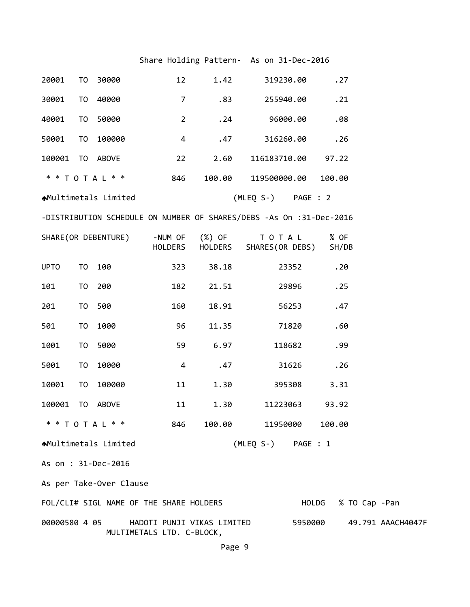## Share Holding Pattern- As on 31-Dec-2016

| 20001         | TO             | 30000                                   | 12             | 1.42                       | 319230.00                                                           | .27           |               |                   |
|---------------|----------------|-----------------------------------------|----------------|----------------------------|---------------------------------------------------------------------|---------------|---------------|-------------------|
| 30001         | T <sub>0</sub> | 40000                                   | $\overline{7}$ | .83                        | 255940.00                                                           | .21           |               |                   |
| 40001         | T <sub>0</sub> | 50000                                   | $\overline{2}$ | .24                        | 96000.00                                                            | .08           |               |                   |
| 50001         | T <sub>0</sub> | 100000                                  | $\overline{4}$ | .47                        | 316260.00                                                           | .26           |               |                   |
| 100001        | TO             | ABOVE                                   | 22             | 2.60                       | 116183710.00                                                        | 97.22         |               |                   |
|               |                | * * T O T A L * *                       | 846            | 100.00                     | 119500000.00                                                        | 100.00        |               |                   |
|               |                | ▲Multimetals Limited                    |                |                            | (MLEQ S-) PAGE : 2                                                  |               |               |                   |
|               |                |                                         |                |                            | -DISTRIBUTION SCHEDULE ON NUMBER OF SHARES/DEBS -As On :31-Dec-2016 |               |               |                   |
|               |                | SHARE(OR DEBENTURE)                     | HOLDERS        | -NUM OF (%) OF<br>HOLDERS  | T O T A L<br>SHARES(OR DEBS)                                        | % OF<br>SH/DB |               |                   |
| <b>UPTO</b>   | T <sub>0</sub> | 100                                     | 323            | 38.18                      | 23352                                                               | .20           |               |                   |
| 101           | T <sub>0</sub> | 200                                     | 182            | 21.51                      | 29896                                                               | .25           |               |                   |
| 201           | T <sub>0</sub> | 500                                     | 160            | 18.91                      | 56253                                                               | .47           |               |                   |
| 501           | T <sub>0</sub> | 1000                                    | 96             | 11.35                      | 71820                                                               | .60           |               |                   |
| 1001          | T <sub>0</sub> | 5000                                    | 59             | 6.97                       | 118682                                                              | .99           |               |                   |
| 5001          | T <sub>0</sub> | 10000                                   | 4              | .47                        | 31626                                                               | .26           |               |                   |
| 10001         | T <sub>0</sub> | 100000                                  | 11             | 1.30                       | 395308                                                              | 3.31          |               |                   |
| 100001        | T <sub>0</sub> | ABOVE                                   | 11             | 1.30                       | 11223063                                                            | 93.92         |               |                   |
|               |                | * * T O T A L * *                       | 846            | 100.00                     | 11950000                                                            | 100.00        |               |                   |
|               |                | ▲Multimetals Limited                    |                |                            | (MLEQ S-) PAGE : 1                                                  |               |               |                   |
|               |                | As on : 31-Dec-2016                     |                |                            |                                                                     |               |               |                   |
|               |                | As per Take-Over Clause                 |                |                            |                                                                     |               |               |                   |
|               |                | FOL/CLI# SIGL NAME OF THE SHARE HOLDERS |                |                            |                                                                     | HOLDG         | % TO Cap -Pan |                   |
| 00000580 4 05 |                | MULTIMETALS LTD. C-BLOCK,               |                | HADOTI PUNJI VIKAS LIMITED |                                                                     | 5950000       |               | 49.791 AAACH4047F |

Page 9